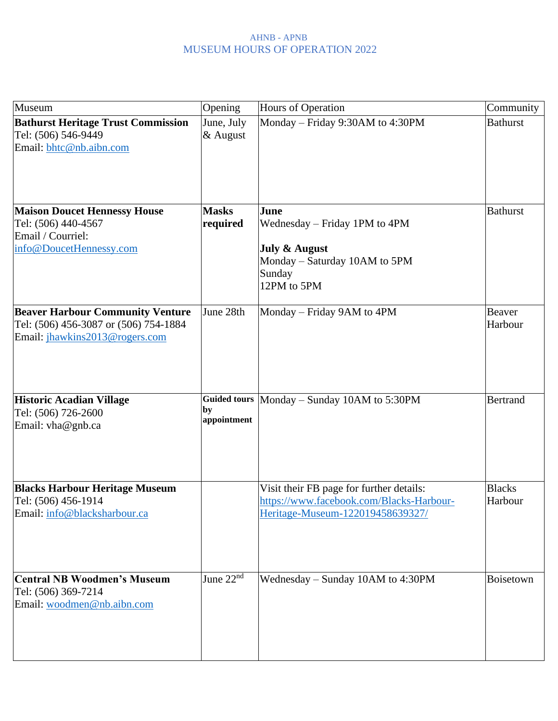| Museum                                                                                                             | Opening                                  | Hours of Operation                                                                                                          | Community                |
|--------------------------------------------------------------------------------------------------------------------|------------------------------------------|-----------------------------------------------------------------------------------------------------------------------------|--------------------------|
| <b>Bathurst Heritage Trust Commission</b><br>Tel: (506) 546-9449<br>Email: bhtc@nb.aibn.com                        | June, July<br>& August                   | Monday - Friday 9:30AM to 4:30PM                                                                                            | <b>Bathurst</b>          |
| <b>Maison Doucet Hennessy House</b><br>Tel: (506) 440-4567<br>Email / Courriel:<br>info@DoucetHennessy.com         | <b>Masks</b><br>required                 | June<br>Wednesday – Friday 1PM to 4PM<br><b>July &amp; August</b><br>Monday – Saturday 10AM to 5PM<br>Sunday<br>12PM to 5PM | <b>Bathurst</b>          |
| <b>Beaver Harbour Community Venture</b><br>Tel: (506) 456-3087 or (506) 754-1884<br>Email: jhawkins2013@rogers.com | June 28th                                | Monday – Friday 9AM to 4PM                                                                                                  | Beaver<br>Harbour        |
| <b>Historic Acadian Village</b><br>Tel: (506) 726-2600<br>Email: vha@gnb.ca                                        | <b>Guided tours</b><br>by<br>appointment | Monday – Sunday 10AM to 5:30PM                                                                                              | <b>Bertrand</b>          |
| <b>Blacks Harbour Heritage Museum</b><br>Tel: (506) 456-1914<br>Email: info@blacksharbour.ca                       |                                          | Visit their FB page for further details:<br>https://www.facebook.com/Blacks-Harbour-<br>Heritage-Museum-122019458639327/    | <b>Blacks</b><br>Harbour |
| <b>Central NB Woodmen's Museum</b><br>Tel: (506) 369-7214<br>Email: woodmen@nb.aibn.com                            | June $22nd$                              | Wednesday – Sunday 10AM to 4:30PM                                                                                           | Boisetown                |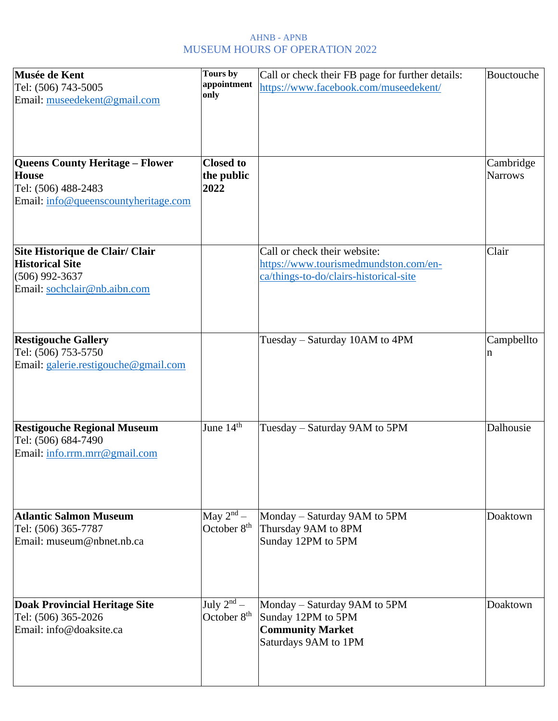| Musée de Kent<br>Tel: (506) 743-5005<br>Email: museedekent@gmail.com                                                  | Tours by<br>appointment<br>only            | Call or check their FB page for further details:<br>https://www.facebook.com/museedekent/                       | Bouctouche                  |
|-----------------------------------------------------------------------------------------------------------------------|--------------------------------------------|-----------------------------------------------------------------------------------------------------------------|-----------------------------|
| <b>Queens County Heritage - Flower</b><br><b>House</b><br>Tel: (506) 488-2483<br>Email: info@queenscountyheritage.com | <b>Closed to</b><br>the public<br>2022     |                                                                                                                 | Cambridge<br><b>Narrows</b> |
| Site Historique de Clair/ Clair<br><b>Historical Site</b><br>$(506)$ 992-3637<br>Email: sochclair@nb.aibn.com         |                                            | Call or check their website:<br>https://www.tourismedmundston.com/en-<br>ca/things-to-do/clairs-historical-site | Clair                       |
| <b>Restigouche Gallery</b><br>Tel: (506) 753-5750<br>Email: galerie.restigouche@gmail.com                             |                                            | Tuesday - Saturday 10AM to 4PM                                                                                  | Campbellto<br>n             |
| <b>Restigouche Regional Museum</b><br>Tel: (506) 684-7490<br>Email: info.rrm.mrr@gmail.com                            | June $14^{\overline{th}}$                  | Tuesday – Saturday 9AM to 5PM                                                                                   | Dalhousie                   |
| <b>Atlantic Salmon Museum</b><br>Tel: (506) 365-7787<br>Email: museum@nbnet.nb.ca                                     | May $2^{nd}$ –<br>October 8 <sup>th</sup>  | Monday – Saturday 9AM to 5PM<br>Thursday 9AM to 8PM<br>Sunday 12PM to 5PM                                       | Doaktown                    |
| <b>Doak Provincial Heritage Site</b><br>Tel: (506) 365-2026<br>Email: info@doaksite.ca                                | July $2^{nd}$ –<br>October 8 <sup>th</sup> | Monday – Saturday 9AM to 5PM<br>Sunday 12PM to 5PM<br><b>Community Market</b><br>Saturdays 9AM to 1PM           | Doaktown                    |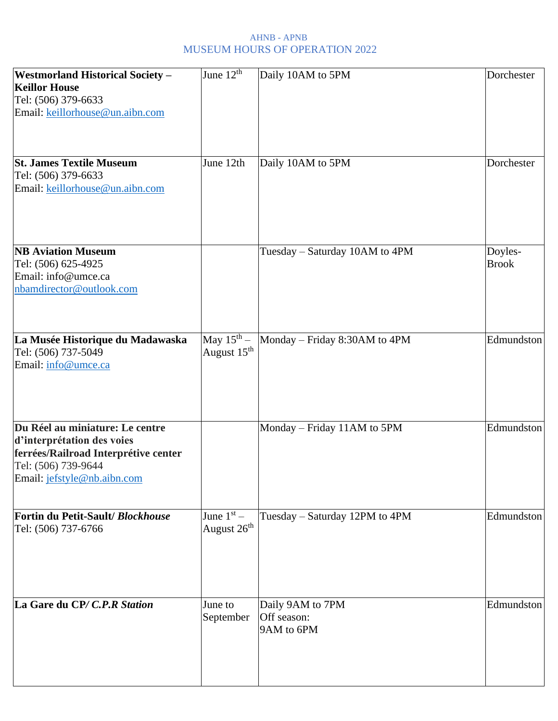| <b>Westmorland Historical Society -</b><br><b>Keillor House</b><br>Tel: (506) 379-6633<br>Email: keillorhouse@un.aibn.com                                   | June $12^{\text{th}}$                             | Daily 10AM to 5PM                             | Dorchester              |
|-------------------------------------------------------------------------------------------------------------------------------------------------------------|---------------------------------------------------|-----------------------------------------------|-------------------------|
| <b>St. James Textile Museum</b><br>Tel: (506) 379-6633<br>Email: keillorhouse@un.aibn.com                                                                   | June 12th                                         | Daily 10AM to 5PM                             | Dorchester              |
| <b>NB Aviation Museum</b><br>Tel: (506) 625-4925<br>Email: info@umce.ca<br>nbamdirector@outlook.com                                                         |                                                   | Tuesday - Saturday 10AM to 4PM                | Doyles-<br><b>Brook</b> |
| La Musée Historique du Madawaska<br>Tel: (506) 737-5049<br>Email: info@umce.ca                                                                              | May $15^{\text{th}}$ –<br>August 15 <sup>th</sup> | Monday – Friday 8:30AM to 4PM                 | Edmundston              |
| Du Réel au miniature: Le centre<br>d'interprétation des voies<br>ferrées/Railroad Interprétive center<br>Tel: (506) 739-9644<br>Email: jefstyle@nb.aibn.com |                                                   | Monday - Friday 11AM to 5PM                   | Edmundston              |
| Fortin du Petit-Sault/Blockhouse<br>Tel: (506) 737-6766                                                                                                     | June $1st$ –<br>August 26 <sup>th</sup>           | Tuesday - Saturday 12PM to 4PM                | Edmundston              |
| La Gare du CP/C.P.R Station                                                                                                                                 | June to<br>September                              | Daily 9AM to 7PM<br>Off season:<br>9AM to 6PM | Edmundston              |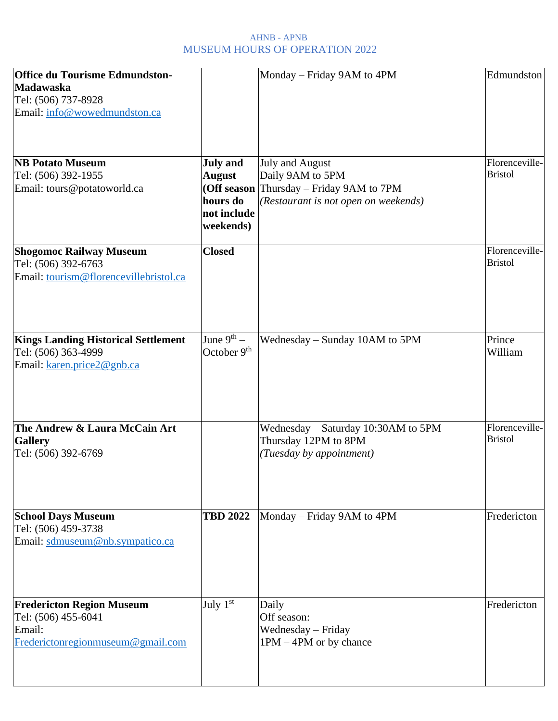| <b>Office du Tourisme Edmundston-</b>      |                         | Monday – Friday 9AM to 4PM           | Edmundston                       |
|--------------------------------------------|-------------------------|--------------------------------------|----------------------------------|
| Madawaska                                  |                         |                                      |                                  |
| Tel: (506) 737-8928                        |                         |                                      |                                  |
| Email: info@wowedmundston.ca               |                         |                                      |                                  |
|                                            |                         |                                      |                                  |
| <b>NB Potato Museum</b>                    | <b>July and</b>         | July and August                      | Florenceville-                   |
| Tel: (506) 392-1955                        | <b>August</b>           | Daily 9AM to 5PM                     | <b>Bristol</b>                   |
| Email: tours@potatoworld.ca                | (Off season             | Thursday – Friday 9AM to 7PM         |                                  |
|                                            | hours do                | (Restaurant is not open on weekends) |                                  |
|                                            | not include             |                                      |                                  |
|                                            | weekends)               |                                      |                                  |
| <b>Shogomoc Railway Museum</b>             | <b>Closed</b>           |                                      | Florenceville-                   |
| Tel: (506) 392-6763                        |                         |                                      | <b>Bristol</b>                   |
| Email: tourism@florencevillebristol.ca     |                         |                                      |                                  |
| <b>Kings Landing Historical Settlement</b> | June $9^{th}$ –         | Wednesday – Sunday 10AM to 5PM       | Prince                           |
| Tel: (506) 363-4999                        | October 9 <sup>th</sup> |                                      | William                          |
| Email: karen.price2@gnb.ca                 |                         |                                      |                                  |
|                                            |                         |                                      |                                  |
| The Andrew & Laura McCain Art              |                         | Wednesday - Saturday 10:30AM to 5PM  | Florenceville-<br><b>Bristol</b> |
| <b>Gallery</b>                             |                         | Thursday 12PM to 8PM                 |                                  |
| Tel: (506) 392-6769                        |                         | (Tuesday by appointment)             |                                  |
| <b>School Days Museum</b>                  | <b>TBD 2022</b>         | Monday – Friday 9AM to 4PM           | Fredericton                      |
| Tel: (506) 459-3738                        |                         |                                      |                                  |
| Email: sdmuseum@nb.sympatico.ca            |                         |                                      |                                  |
|                                            |                         |                                      |                                  |
| <b>Fredericton Region Museum</b>           | July $1st$              | Daily                                | Fredericton                      |
| Tel: (506) 455-6041                        |                         | Off season:                          |                                  |
| Email:                                     |                         | Wednesday - Friday                   |                                  |
| Frederictonregionmuseum@gmail.com          |                         | $1PM - 4PM$ or by chance             |                                  |
|                                            |                         |                                      |                                  |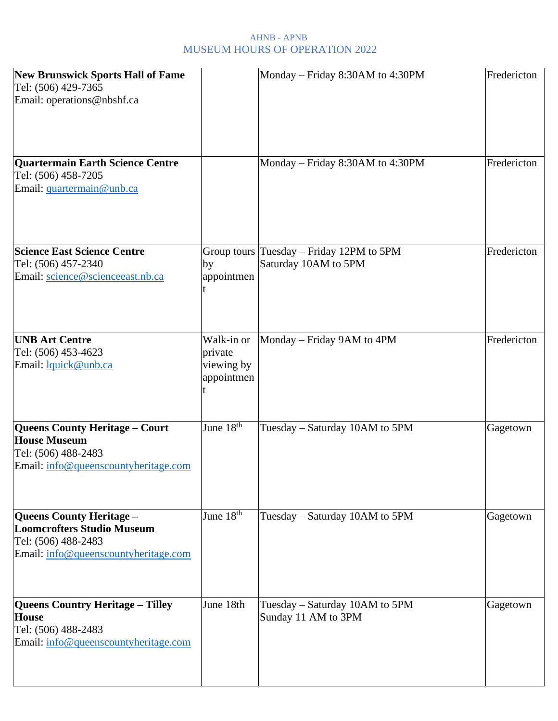| <b>New Brunswick Sports Hall of Fame</b><br>Tel: (506) 429-7365<br>Email: operations@nbshf.ca                                       |                                                   | Monday - Friday 8:30AM to 4:30PM                                 | Fredericton |
|-------------------------------------------------------------------------------------------------------------------------------------|---------------------------------------------------|------------------------------------------------------------------|-------------|
| Quartermain Earth Science Centre<br>Tel: (506) 458-7205<br>Email: quartermain@unb.ca                                                |                                                   | Monday – Friday 8:30AM to 4:30PM                                 | Fredericton |
| <b>Science East Science Centre</b><br>Tel: (506) 457-2340<br>Email: science@scienceeast.nb.ca                                       | by<br>appointmen                                  | Group tours Tuesday - Friday 12PM to 5PM<br>Saturday 10AM to 5PM | Fredericton |
| <b>UNB Art Centre</b><br>Tel: (506) 453-4623<br>Email: lquick@unb.ca                                                                | Walk-in or<br>private<br>viewing by<br>appointmen | Monday - Friday 9AM to 4PM                                       | Fredericton |
| <b>Queens County Heritage - Court</b><br><b>House Museum</b><br>Tel: (506) 488-2483<br>Email: info@queenscountyheritage.com         | June $18^{\overline{th}}$                         | Tuesday - Saturday 10AM to 5PM                                   | Gagetown    |
| <b>Queens County Heritage -</b><br><b>Loomcrofters Studio Museum</b><br>Tel: (506) 488-2483<br>Email: info@queenscountyheritage.com | June 18 <sup>th</sup>                             | Tuesday – Saturday 10AM to 5PM                                   | Gagetown    |
| <b>Queens Country Heritage - Tilley</b><br><b>House</b><br>Tel: (506) 488-2483<br>Email: info@queenscountyheritage.com              | June 18th                                         | Tuesday – Saturday 10AM to 5PM<br>Sunday 11 AM to 3PM            | Gagetown    |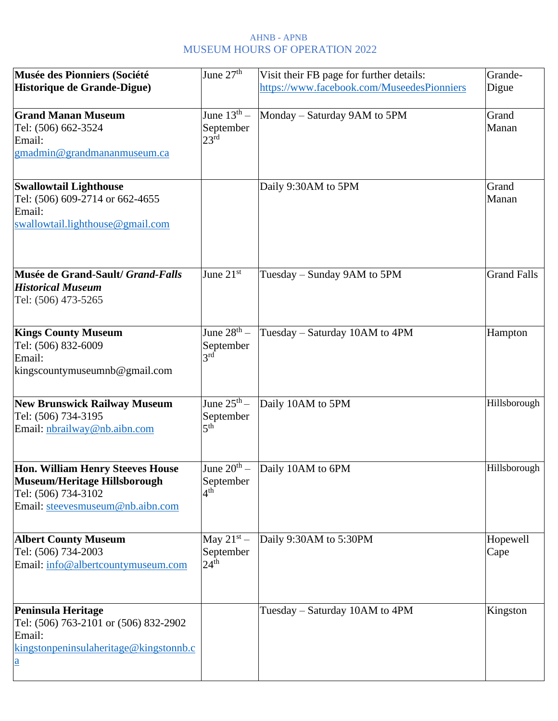| Musée des Pionniers (Société<br>Historique de Grande-Digue)                                                                               | June 27 <sup>th</sup>                                     | Visit their FB page for further details:<br>https://www.facebook.com/MuseedesPionniers | Grande-<br>Digue   |
|-------------------------------------------------------------------------------------------------------------------------------------------|-----------------------------------------------------------|----------------------------------------------------------------------------------------|--------------------|
| <b>Grand Manan Museum</b><br>Tel: (506) 662-3524<br>Email:<br>gmadmin@grandmananmuseum.ca                                                 | June $13^{\text{th}}$ -<br>September<br>$23^{\text{rd}}$  | Monday - Saturday 9AM to 5PM                                                           | Grand<br>Manan     |
| <b>Swallowtail Lighthouse</b><br>Tel: (506) 609-2714 or 662-4655<br>Email:<br>swallowtail.lighthouse@gmail.com                            |                                                           | Daily 9:30AM to 5PM                                                                    | Grand<br>Manan     |
| Musée de Grand-Sault/ Grand-Falls<br><b>Historical Museum</b><br>Tel: (506) 473-5265                                                      | June $21st$                                               | Tuesday – Sunday 9AM to 5PM                                                            | <b>Grand Falls</b> |
| <b>Kings County Museum</b><br>Tel: (506) 832-6009<br>Email:<br>kingscountymuseumnb@gmail.com                                              | June $28^{\text{th}}$ –<br>September<br>3 <sup>rd</sup>   | Tuesday – Saturday 10AM to 4PM                                                         | Hampton            |
| <b>New Brunswick Railway Museum</b><br>Tel: (506) 734-3195<br>Email: nbrailway@nb.aibn.com                                                | June $25^{\text{th}} -$<br>September<br>5 <sup>th</sup>   | Daily 10AM to 5PM                                                                      | Hillsborough       |
| <b>Hon. William Henry Steeves House</b><br><b>Museum/Heritage Hillsborough</b><br>Tel: (506) 734-3102<br>Email: steevesmuseum@nb.aibn.com | June $20^{\text{th}}$ $-$<br>September<br>4 <sup>th</sup> | Daily 10AM to 6PM                                                                      | Hillsborough       |
| <b>Albert County Museum</b><br>Tel: (506) 734-2003<br>Email: info@albertcountymuseum.com                                                  | May $21^{st}$ –<br>September<br>24 <sup>th</sup>          | Daily 9:30AM to 5:30PM                                                                 | Hopewell<br>Cape   |
| <b>Peninsula Heritage</b><br>Tel: (506) 763-2101 or (506) 832-2902<br>Email:<br>kingstonpeninsulaheritage@kingstonnb.c<br>$\underline{a}$ |                                                           | Tuesday – Saturday 10AM to 4PM                                                         | Kingston           |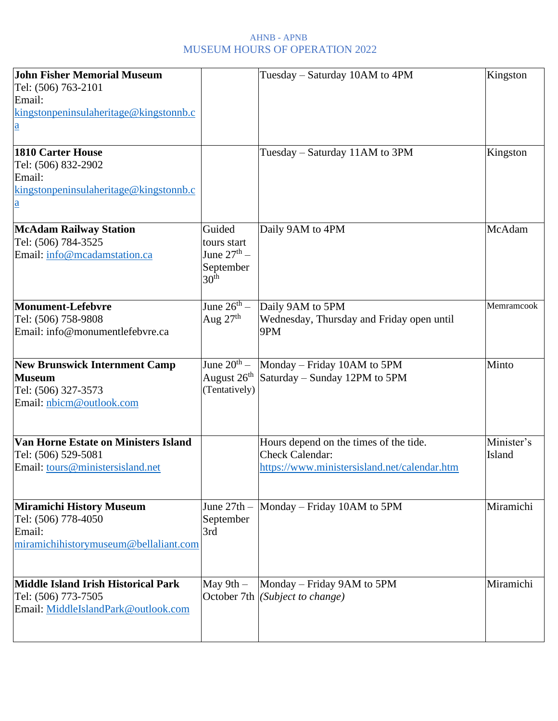| <b>John Fisher Memorial Museum</b><br>Tel: (506) 763-2101<br>Email:<br>kingstonpeninsulaheritage@kingstonnb.c<br>$\underline{a}$ |                                                                                   | Tuesday – Saturday 10AM to 4PM                                                                                   | Kingston             |
|----------------------------------------------------------------------------------------------------------------------------------|-----------------------------------------------------------------------------------|------------------------------------------------------------------------------------------------------------------|----------------------|
| <b>1810 Carter House</b><br>Tel: (506) 832-2902<br>Email:<br>kingstonpeninsulaheritage@kingstonnb.c<br>$\underline{a}$           |                                                                                   | Tuesday – Saturday 11AM to 3PM                                                                                   | Kingston             |
| <b>McAdam Railway Station</b><br>Tel: (506) 784-3525<br>Email: info@mcadamstation.ca                                             | Guided<br>tours start<br>June $27^{\text{th}}$ –<br>September<br>30 <sup>th</sup> | Daily 9AM to 4PM                                                                                                 | McAdam               |
| <b>Monument-Lefebvre</b><br>Tel: (506) 758-9808<br>Email: info@monumentlefebvre.ca                                               | June $26^{\text{th}} -$<br>Aug $27th$                                             | Daily 9AM to 5PM<br>Wednesday, Thursday and Friday open until<br>9PM                                             | Memramcook           |
| <b>New Brunswick Internment Camp</b><br><b>Museum</b><br>Tel: (506) 327-3573<br>Email: nbicm@outlook.com                         | June $20^{\text{th}}$ –<br>August $26th$<br>(Tentatively)                         | Monday – Friday 10AM to 5PM<br>Saturday – Sunday 12PM to 5PM                                                     | Minto                |
| Van Horne Estate on Ministers Island<br>Tel: (506) 529-5081<br>Email: tours@ministersisland.net                                  |                                                                                   | Hours depend on the times of the tide.<br><b>Check Calendar:</b><br>https://www.ministersisland.net/calendar.htm | Minister's<br>Island |
| <b>Miramichi History Museum</b><br>Tel: (506) 778-4050<br>Email:<br>miramichihistorymuseum@bellaliant.com                        | June $27th -$<br>September<br>3rd                                                 | Monday – Friday 10AM to 5PM                                                                                      | Miramichi            |
| <b>Middle Island Irish Historical Park</b><br>Tel: (506) 773-7505<br>Email: MiddleIslandPark@outlook.com                         | May $9th -$                                                                       | Monday – Friday 9AM to 5PM<br>October 7th (Subject to change)                                                    | Miramichi            |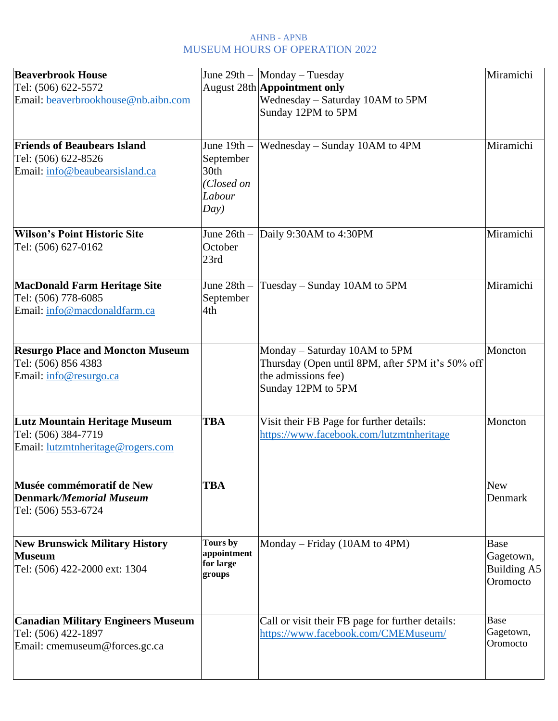| <b>Beaverbrook House</b><br>Tel: (506) 622-5572<br>Email: beaverbrookhouse@nb.aibn.com            |                                                                    | June $29th -$ Monday - Tuesday<br><b>August 28th Appointment only</b><br>Wednesday - Saturday 10AM to 5PM<br>Sunday 12PM to 5PM | Miramichi                                           |
|---------------------------------------------------------------------------------------------------|--------------------------------------------------------------------|---------------------------------------------------------------------------------------------------------------------------------|-----------------------------------------------------|
| <b>Friends of Beaubears Island</b><br>Tel: (506) 622-8526<br>Email: info@beaubearsisland.ca       | June $19th -$<br>September<br>30th<br>(Closed on<br>Labour<br>Day) | Wednesday – Sunday 10AM to 4PM                                                                                                  | Miramichi                                           |
| <b>Wilson's Point Historic Site</b><br>Tel: (506) 627-0162                                        | June $26th -$<br>October<br>23rd                                   | Daily 9:30AM to 4:30PM                                                                                                          | Miramichi                                           |
| <b>MacDonald Farm Heritage Site</b><br>Tel: (506) 778-6085<br>Email: info@macdonaldfarm.ca        | June $28th -$<br>September<br>4th                                  | Tuesday – Sunday 10AM to 5PM                                                                                                    | Miramichi                                           |
| <b>Resurgo Place and Moncton Museum</b><br>Tel: (506) 856 4383<br>Email: info@resurgo.ca          |                                                                    | Monday - Saturday 10AM to 5PM<br>Thursday (Open until 8PM, after 5PM it's 50% off<br>the admissions fee)<br>Sunday 12PM to 5PM  | Moncton                                             |
| <b>Lutz Mountain Heritage Museum</b><br>Tel: (506) 384-7719<br>Email: lutzmtnheritage@rogers.com  | <b>TBA</b>                                                         | Visit their FB Page for further details:<br>https://www.facebook.com/lutzmtnheritage                                            | Moncton                                             |
| Musée commémoratif de New<br><b>Denmark/Memorial Museum</b><br>Tel: (506) 553-6724                | <b>TBA</b>                                                         |                                                                                                                                 | <b>New</b><br>Denmark                               |
| <b>New Brunswick Military History</b><br><b>Museum</b><br>Tel: (506) 422-2000 ext: 1304           | Tours by<br>appointment<br>for large<br>groups                     | Monday – Friday (10AM to 4PM)                                                                                                   | <b>Base</b><br>Gagetown,<br>Building A5<br>Oromocto |
| <b>Canadian Military Engineers Museum</b><br>Tel: (506) 422-1897<br>Email: cmemuseum@forces.gc.ca |                                                                    | Call or visit their FB page for further details:<br>https://www.facebook.com/CMEMuseum/                                         | Base<br>Gagetown,<br>Oromocto                       |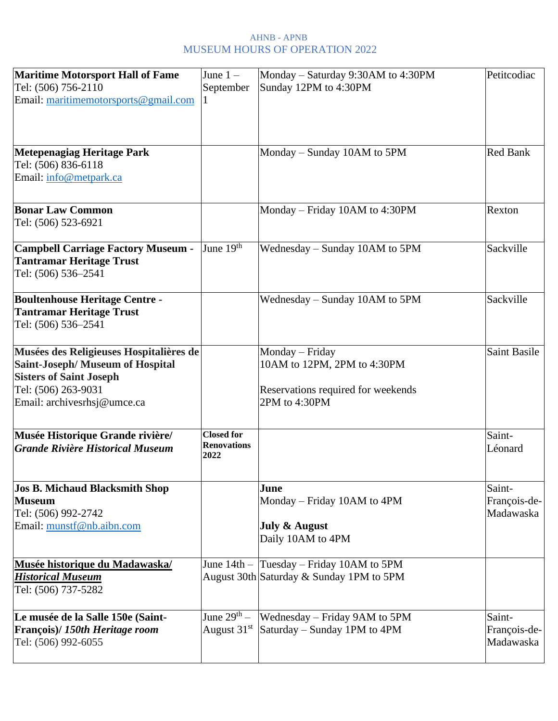| <b>Maritime Motorsport Hall of Fame</b>               | June $1 -$                              | Monday – Saturday 9:30AM to 4:30PM                  | Petitcodiac     |
|-------------------------------------------------------|-----------------------------------------|-----------------------------------------------------|-----------------|
| Tel: (506) 756-2110                                   | September                               | Sunday 12PM to 4:30PM                               |                 |
| Email: maritimemotorsports@gmail.com                  |                                         |                                                     |                 |
|                                                       |                                         |                                                     |                 |
|                                                       |                                         |                                                     |                 |
|                                                       |                                         |                                                     |                 |
| Metepenagiag Heritage Park                            |                                         | Monday – Sunday 10AM to 5PM                         | <b>Red Bank</b> |
| Tel: (506) 836-6118                                   |                                         |                                                     |                 |
| Email: info@metpark.ca                                |                                         |                                                     |                 |
|                                                       |                                         |                                                     |                 |
| <b>Bonar Law Common</b>                               |                                         | Monday – Friday 10AM to 4:30PM                      | Rexton          |
| Tel: (506) 523-6921                                   |                                         |                                                     |                 |
|                                                       |                                         |                                                     |                 |
| <b>Campbell Carriage Factory Museum -</b>             | June 19th                               | Wednesday – Sunday 10AM to 5PM                      | Sackville       |
| <b>Tantramar Heritage Trust</b>                       |                                         |                                                     |                 |
| Tel: (506) 536-2541                                   |                                         |                                                     |                 |
|                                                       |                                         |                                                     |                 |
| <b>Boultenhouse Heritage Centre -</b>                 |                                         | Wednesday – Sunday 10AM to 5PM                      | Sackville       |
| <b>Tantramar Heritage Trust</b>                       |                                         |                                                     |                 |
| Tel: (506) 536-2541                                   |                                         |                                                     |                 |
|                                                       |                                         |                                                     |                 |
| Musées des Religieuses Hospitalières de               |                                         | Monday - Friday                                     | Saint Basile    |
| <b>Saint-Joseph/ Museum of Hospital</b>               |                                         | 10AM to 12PM, 2PM to 4:30PM                         |                 |
| <b>Sisters of Saint Joseph</b><br>Tel: (506) 263-9031 |                                         |                                                     |                 |
| Email: archivesrhsj@umce.ca                           |                                         | Reservations required for weekends<br>2PM to 4:30PM |                 |
|                                                       |                                         |                                                     |                 |
|                                                       |                                         |                                                     |                 |
| Musée Historique Grande rivière/                      | <b>Closed for</b><br><b>Renovations</b> |                                                     | Saint-          |
| Grande Rivière Historical Museum                      | 2022                                    |                                                     | Léonard         |
|                                                       |                                         |                                                     |                 |
| Jos B. Michaud Blacksmith Shop                        |                                         | June                                                | Saint-          |
| <b>Museum</b>                                         |                                         | Monday – Friday 10AM to 4PM                         | François-de-    |
| Tel: (506) 992-2742                                   |                                         |                                                     | Madawaska       |
| Email: munstf@nb.aibn.com                             |                                         | <b>July &amp; August</b>                            |                 |
|                                                       |                                         | Daily 10AM to 4PM                                   |                 |
|                                                       |                                         |                                                     |                 |
| Musée historique du Madawaska/                        | June $14th -$                           | Tuesday – Friday 10AM to 5PM                        |                 |
| <b>Historical Museum</b>                              |                                         | August 30th Saturday & Sunday 1PM to 5PM            |                 |
| Tel: (506) 737-5282                                   |                                         |                                                     |                 |
|                                                       |                                         |                                                     |                 |
| Le musée de la Salle 150e (Saint-                     | June $29th$ –                           | Wednesday – Friday 9AM to 5PM                       | Saint-          |
| François)/ 150th Heritage room                        | August 31 <sup>st</sup>                 | Saturday – Sunday 1PM to 4PM                        | François-de-    |
| Tel: (506) 992-6055                                   |                                         |                                                     | Madawaska       |
|                                                       |                                         |                                                     |                 |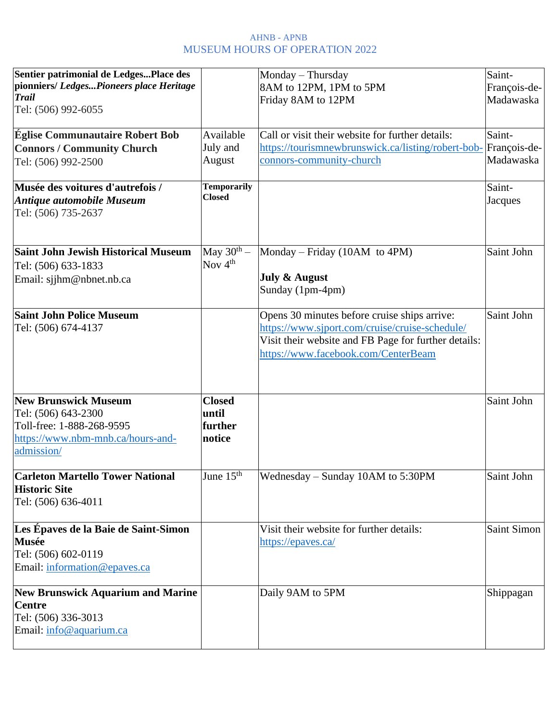| Sentier patrimonial de LedgesPlace des<br>pionniers/LedgesPioneers place Heritage<br><b>Trail</b><br>Tel: (506) 992-6055           |                                             | Monday - Thursday<br>8AM to 12PM, 1PM to 5PM<br>Friday 8AM to 12PM                                                                                                                            | Saint-<br>François-de-<br>Madawaska |
|------------------------------------------------------------------------------------------------------------------------------------|---------------------------------------------|-----------------------------------------------------------------------------------------------------------------------------------------------------------------------------------------------|-------------------------------------|
| <b>Église Communautaire Robert Bob</b><br><b>Connors / Community Church</b><br>Tel: (506) 992-2500                                 | Available<br>July and<br>August             | Call or visit their website for further details:<br>https://tourismnewbrunswick.ca/listing/robert-bob-<br>connors-community-church                                                            | Saint-<br>François-de-<br>Madawaska |
| Musée des voitures d'autrefois /<br><b>Antique automobile Museum</b><br>Tel: (506) 735-2637                                        | <b>Temporarily</b><br><b>Closed</b>         |                                                                                                                                                                                               | Saint-<br>Jacques                   |
| <b>Saint John Jewish Historical Museum</b><br>Tel: (506) 633-1833<br>Email: sjihm@nbnet.nb.ca                                      | May $30^{th}$ –<br>Nov $4th$                | Monday – Friday (10AM to 4PM)<br><b>July &amp; August</b><br>Sunday (1pm-4pm)                                                                                                                 | Saint John                          |
| <b>Saint John Police Museum</b><br>Tel: (506) 674-4137                                                                             |                                             | Opens 30 minutes before cruise ships arrive:<br>https://www.sjport.com/cruise/cruise-schedule/<br>Visit their website and FB Page for further details:<br>https://www.facebook.com/CenterBeam | Saint John                          |
| <b>New Brunswick Museum</b><br>Tel: (506) 643-2300<br>Toll-free: 1-888-268-9595<br>https://www.nbm-mnb.ca/hours-and-<br>admission/ | <b>Closed</b><br>until<br>further<br>notice |                                                                                                                                                                                               | Saint John                          |
| <b>Carleton Martello Tower National</b><br><b>Historic Site</b><br>Tel: (506) 636-4011                                             | June $15^{\text{th}}$                       | Wednesday - Sunday 10AM to 5:30PM                                                                                                                                                             | Saint John                          |
| Les Épaves de la Baie de Saint-Simon<br><b>Musée</b><br>Tel: (506) 602-0119<br>Email: information@epaves.ca                        |                                             | Visit their website for further details:<br>https://epaves.ca/                                                                                                                                | Saint Simon                         |
| <b>New Brunswick Aquarium and Marine</b><br><b>Centre</b><br>Tel: (506) 336-3013<br>Email: info@aquarium.ca                        |                                             | Daily 9AM to 5PM                                                                                                                                                                              | Shippagan                           |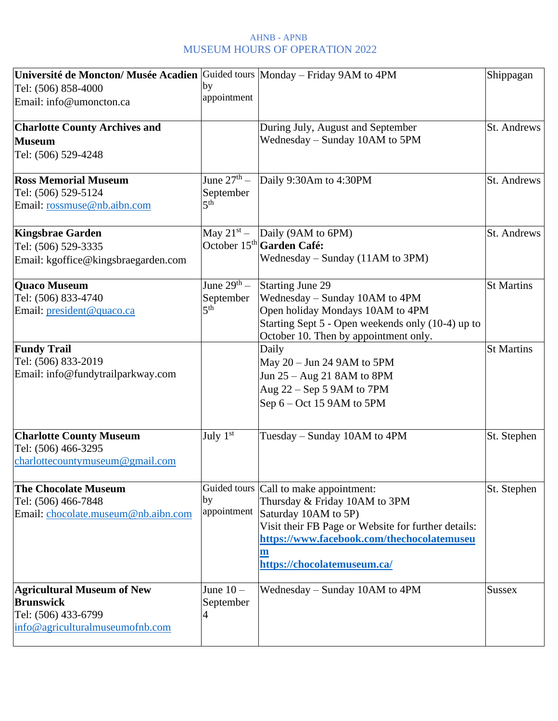| Université de Moncton/ Musée Acadien Guided tours Monday – Friday 9AM to 4PM |                           |                                                     | Shippagan         |
|------------------------------------------------------------------------------|---------------------------|-----------------------------------------------------|-------------------|
| Tel: (506) 858-4000                                                          | by                        |                                                     |                   |
| Email: info@umoncton.ca                                                      | appointment               |                                                     |                   |
|                                                                              |                           |                                                     |                   |
| <b>Charlotte County Archives and</b>                                         |                           | During July, August and September                   | St. Andrews       |
| <b>Museum</b>                                                                |                           | Wednesday – Sunday 10AM to 5PM                      |                   |
| Tel: (506) 529-4248                                                          |                           |                                                     |                   |
|                                                                              |                           |                                                     |                   |
| <b>Ross Memorial Museum</b>                                                  | June 27 <sup>th</sup> $-$ | Daily 9:30Am to 4:30PM                              | St. Andrews       |
| Tel: (506) 529-5124                                                          | September                 |                                                     |                   |
| Email: rossmuse@nb.aibn.com                                                  | 5 <sup>th</sup>           |                                                     |                   |
| <b>Kingsbrae Garden</b>                                                      | May $21^{st}$ –           | Daily (9AM to 6PM)                                  | St. Andrews       |
| Tel: (506) 529-3335                                                          |                           | October 15 <sup>th</sup> Garden Café:               |                   |
| Email: kgoffice@kingsbraegarden.com                                          |                           | Wednesday – Sunday (11AM to 3PM)                    |                   |
| <b>Quaco Museum</b>                                                          | June $29^{th}$ –          | <b>Starting June 29</b>                             | <b>St Martins</b> |
| Tel: (506) 833-4740                                                          | September                 | Wednesday – Sunday 10AM to 4PM                      |                   |
| Email: president@quaco.ca                                                    | 5 <sup>th</sup>           | Open holiday Mondays 10AM to 4PM                    |                   |
|                                                                              |                           | Starting Sept 5 - Open weekends only (10-4) up to   |                   |
|                                                                              |                           | October 10. Then by appointment only.               |                   |
| <b>Fundy Trail</b>                                                           |                           | Daily                                               | <b>St Martins</b> |
| Tel: (506) 833-2019                                                          |                           | May 20 - Jun 24 9AM to 5PM                          |                   |
| Email: info@fundytrailparkway.com                                            |                           | Jun 25 – Aug 21 8AM to 8PM                          |                   |
|                                                                              |                           | Aug 22 – Sep 5 9AM to 7PM                           |                   |
|                                                                              |                           | Sep $6 - Oct$ 15 9AM to 5PM                         |                   |
| <b>Charlotte County Museum</b>                                               | July $1st$                | Tuesday – Sunday 10AM to 4PM                        | St. Stephen       |
| Tel: (506) 466-3295                                                          |                           |                                                     |                   |
| charlottecountymuseum@gmail.com                                              |                           |                                                     |                   |
|                                                                              |                           |                                                     |                   |
| <b>The Chocolate Museum</b>                                                  | Guided tours              | Call to make appointment:                           | St. Stephen       |
| Tel: (506) 466-7848                                                          | by                        | Thursday & Friday 10AM to 3PM                       |                   |
| Email: chocolate.museum@nb.aibn.com                                          | appointment               | Saturday 10AM to 5P)                                |                   |
|                                                                              |                           | Visit their FB Page or Website for further details: |                   |
|                                                                              |                           | https://www.facebook.com/thechocolatemuseu          |                   |
|                                                                              |                           | m                                                   |                   |
|                                                                              |                           | https://chocolatemuseum.ca/                         |                   |
| <b>Agricultural Museum of New</b>                                            | June $10-$                | Wednesday – Sunday 10AM to 4PM                      | <b>Sussex</b>     |
| <b>Brunswick</b>                                                             | September                 |                                                     |                   |
| Tel: (506) 433-6799                                                          | 4                         |                                                     |                   |
| info@agriculturalmuseumofnb.com                                              |                           |                                                     |                   |
|                                                                              |                           |                                                     |                   |